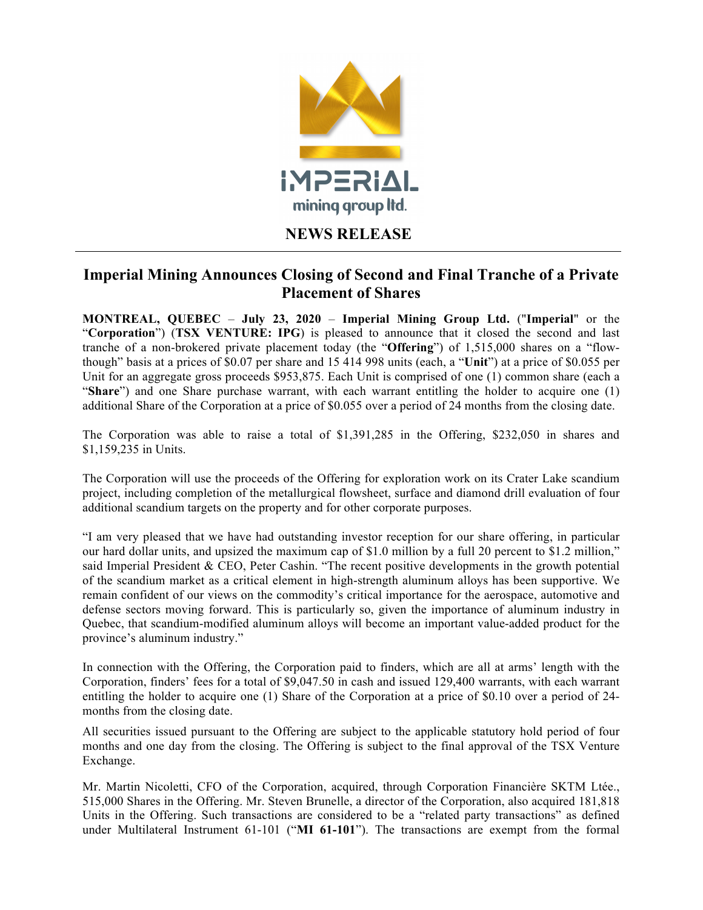

## **NEWS RELEASE**

## **Imperial Mining Announces Closing of Second and Final Tranche of a Private Placement of Shares**

**MONTREAL, QUEBEC** – **July 23, 2020** – **Imperial Mining Group Ltd.** ("**Imperial**" or the "**Corporation**") (**TSX VENTURE: IPG**) is pleased to announce that it closed the second and last tranche of a non-brokered private placement today (the "**Offering**") of 1,515,000 shares on a "flowthough" basis at a prices of \$0.07 per share and 15 414 998 units (each, a "**Unit**") at a price of \$0.055 per Unit for an aggregate gross proceeds \$953,875. Each Unit is comprised of one (1) common share (each a "**Share**") and one Share purchase warrant, with each warrant entitling the holder to acquire one (1) additional Share of the Corporation at a price of \$0.055 over a period of 24 months from the closing date.

The Corporation was able to raise a total of \$1,391,285 in the Offering, \$232,050 in shares and \$1,159,235 in Units.

The Corporation will use the proceeds of the Offering for exploration work on its Crater Lake scandium project, including completion of the metallurgical flowsheet, surface and diamond drill evaluation of four additional scandium targets on the property and for other corporate purposes.

"I am very pleased that we have had outstanding investor reception for our share offering, in particular our hard dollar units, and upsized the maximum cap of \$1.0 million by a full 20 percent to \$1.2 million," said Imperial President & CEO, Peter Cashin. "The recent positive developments in the growth potential of the scandium market as a critical element in high-strength aluminum alloys has been supportive. We remain confident of our views on the commodity's critical importance for the aerospace, automotive and defense sectors moving forward. This is particularly so, given the importance of aluminum industry in Quebec, that scandium-modified aluminum alloys will become an important value-added product for the province's aluminum industry."

In connection with the Offering, the Corporation paid to finders, which are all at arms' length with the Corporation, finders' fees for a total of \$9,047.50 in cash and issued 129,400 warrants, with each warrant entitling the holder to acquire one (1) Share of the Corporation at a price of \$0.10 over a period of 24 months from the closing date.

All securities issued pursuant to the Offering are subject to the applicable statutory hold period of four months and one day from the closing. The Offering is subject to the final approval of the TSX Venture Exchange.

Mr. Martin Nicoletti, CFO of the Corporation, acquired, through Corporation Financière SKTM Ltée., 515,000 Shares in the Offering. Mr. Steven Brunelle, a director of the Corporation, also acquired 181,818 Units in the Offering. Such transactions are considered to be a "related party transactions" as defined under Multilateral Instrument 61-101 ("**MI 61-101**"). The transactions are exempt from the formal